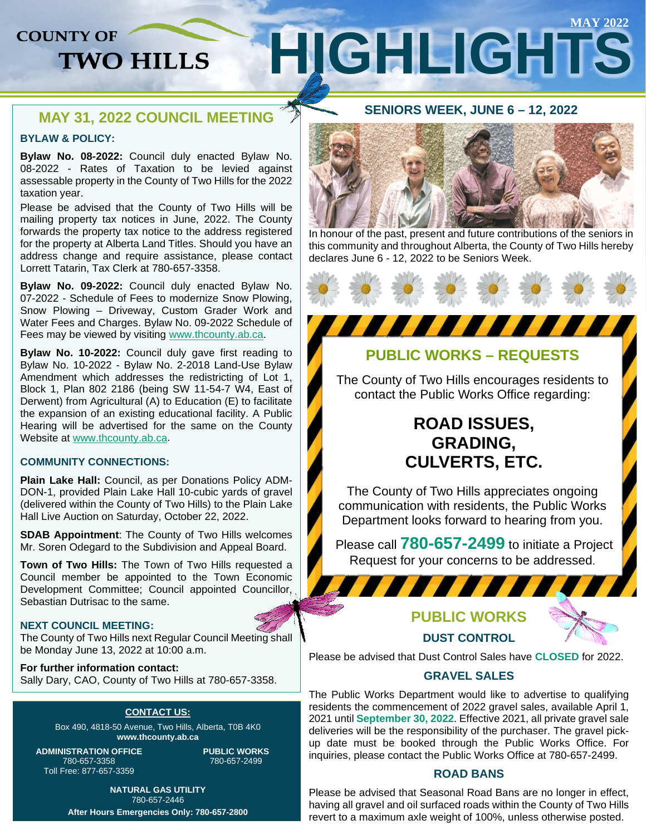# **COUNTY OF**

# **MAY 2022 HIGHLIGHTS TWO HILLS**

## **MAY 31, 2022 COUNCIL MEETING**

## **BYLAW & POLICY:**

**Bylaw No. 08-2022:** Council duly enacted Bylaw No. 08-2022 - Rates of Taxation to be levied against assessable property in the County of Two Hills for the 2022 taxation year.

Please be advised that the County of Two Hills will be mailing property tax notices in June, 2022. The County forwards the property tax notice to the address registered for the property at Alberta Land Titles. Should you have an address change and require assistance, please contact Lorrett Tatarin, Tax Clerk at 780-657-3358.

**Bylaw No. 09-2022:** Council duly enacted Bylaw No. 07-2022 - Schedule of Fees to modernize Snow Plowing, Snow Plowing – Driveway, Custom Grader Work and Water Fees and Charges. Bylaw No. 09-2022 Schedule of Fees may be viewed by visiting [www.thcounty.ab.ca.](http://www.thcounty.ab.ca/)

**Bylaw No. 10-2022:** Council duly gave first reading to Bylaw No. 10-2022 - Bylaw No. 2-2018 Land-Use Bylaw Amendment which addresses the redistricting of Lot 1, Block 1, Plan 802 2186 (being SW 11-54-7 W4, East of Derwent) from Agricultural (A) to Education (E) to facilitate the expansion of an existing educational facility. A Public Hearing will be advertised for the same on the County Website at [www.thcounty.ab.ca.](http://www.thcounty.ab.ca/)

### **COMMUNITY CONNECTIONS:**

**Plain Lake Hall:** Council, as per Donations Policy ADM-DON-1, provided Plain Lake Hall 10-cubic yards of gravel (delivered within the County of Two Hills) to the Plain Lake Hall Live Auction on Saturday, October 22, 2022.

**SDAB Appointment**: The County of Two Hills welcomes Mr. Soren Odegard to the Subdivision and Appeal Board.

**Town of Two Hills:** The Town of Two Hills requested a Council member be appointed to the Town Economic Development Committee; Council appointed Councillor, Sebastian Dutrisac to the same.

### **NEXT COUNCIL MEETING:**

The County of Two Hills next Regular Council Meeting shall be Monday June 13, 2022 at 10:00 a.m.

**For further information contact:**  Sally Dary, CAO, County of Two Hills at 780-657-3358.

### **CONTACT US:**

Box 490, 4818-50 Avenue, Two Hills, Alberta, T0B 4K0 **www.thcounty.ab.ca**

**ADMINISTRATION OFFICE** 780-657-3358 Toll Free: 877-657-3359

**PUBLIC WORKS** 780-657-2499

**NATURAL GAS UTILITY** 780-657-2446 **After Hours Emergencies Only: 780-657-2800**

## **SENIORS WEEK, JUNE 6 – 12, 2022**



In honour of the past, present and future contributions of the seniors in this community and throughout Alberta, the County of Two Hills hereby declares June 6 - 12, 2022 to be Seniors Week.

# **PUBLIC WORKS – REQUESTS**

The County of Two Hills encourages residents to contact the Public Works Office regarding:

# **ROAD ISSUES, GRADING, CULVERTS, ETC.**

The County of Two Hills appreciates ongoing communication with residents, the Public Works Department looks forward to hearing from you.

Please call **780-657-2499** to initiate a Project Request for your concerns to be addressed.

# **PUBLIC WORKS DUST CONTROL**

Please be advised that Dust Control Sales have **CLOSED** for 2022.

## **GRAVEL SALES**

The Public Works Department would like to advertise to qualifying residents the commencement of 2022 gravel sales, available April 1, 2021 until **September 30, 2022**. Effective 2021, all private gravel sale deliveries will be the responsibility of the purchaser. The gravel pickup date must be booked through the Public Works Office. For inquiries, please contact the Public Works Office at 780-657-2499.

## **ROAD BANS**

Please be advised that Seasonal Road Bans are no longer in effect, having all gravel and oil surfaced roads within the County of Two Hills revert to a maximum axle weight of 100%, unless otherwise posted.